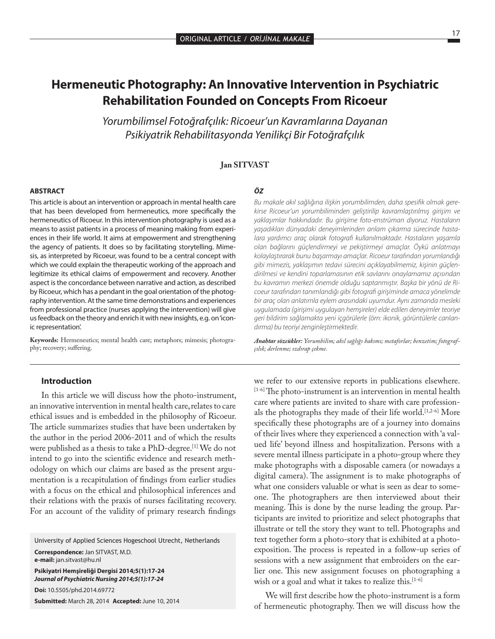# **Hermeneutic Photography: An Innovative Intervention in Psychiatric Rehabilitation Founded on Concepts From Ricoeur**

*Yorumbilimsel Fotoğrafçılık: Ricoeur'un Kavramlarına Dayanan Psikiyatrik Rehabilitasyonda Yenilikçi Bir Fotoğrafçılık* 

#### **Jan SITVAST**

#### **ABSTRACT**

This article is about an intervention or approach in mental health care that has been developed from hermeneutics, more specifically the hermeneutics of Ricoeur. In this intervention photography is used as a means to assist patients in a process of meaning making from experiences in their life world. It aims at empowerment and strengthening the agency of patients. It does so by facilitating storytelling. Mimesis, as interpreted by Ricoeur, was found to be a central concept with which we could explain the therapeutic working of the approach and legitimize its ethical claims of empowerment and recovery. Another aspect is the concordance between narrative and action, as described by Ricoeur, which has a pendant in the goal orientation of the photography intervention. At the same time demonstrations and experiences from professional practice (nurses applying the intervention) will give us feedback on the theory and enrich it with new insights, e.g. on 'iconic representation'.

**Keywords:** Hermeneutics; mental health care; metaphors; mimesis; photography; recovery; suffering.

#### *ÖZ*

*Bu makale akıl sağlığına ilişkin yorumbilimden, daha spesifik olmak gerekirse Ricoeur'un yorumbiliminden geliştirilip kavramlaştırılmış girişim ve yaklaşımlar hakkındadır. Bu girişime foto-enstrüman diyoruz. Hastaların yaşadıkları dünyadaki deneyimlerinden anlam çıkarma sürecinde hastalara yardımcı araç olarak fotografi kullanılmaktadır. Hastaların yaşamla olan bağlarını güçlendirmeyi ve pekiştirmeyi amaçlar. Öykü anlatmayı kolaylaştırarak bunu başarmayı amaçlar. Ricoeur tarafından yorumlandığı gibi mimezis, yaklaşımın tedavi sürecini açıklayabilmemiz, kişinin güçlendirilmesi ve kendini toparlamasının etik savlarını onaylamamız açısından bu kavramın merkezi önemde olduğu saptanmıştır. Başka bir yönü de Ricoeur tarafından tanımlandığı gibi fotografi girişiminde amaca yönelimde bir araç olan anlatımla eylem arasındaki uyumdur. Aynı zamanda mesleki uygulamada (girişimi uygulayan hemşireler) elde edilen deneyimler teoriye geri bildirim sağlamakta yeni içgörülerle (örn: ikonik, görüntülerle canlandırma) bu teoriyi zenginleştirmektedir.* 

*Anahtar sözcükler: Yorumbilim; akıl sağlığı bakımı; metaforlar; benzetim; fotografçılık; derlenme; ızdırap çekme.* 

#### **Introduction**

In this article we will discuss how the photo-instrument, an innovative intervention in mental health care, relates to care ethical issues and is embedded in the philosophy of Ricoeur. The article summarizes studies that have been undertaken by the author in the period 2006-2011 and of which the results were published as a thesis to take a PhD-degree.<sup>[1]</sup> We do not intend to go into the scientific evidence and research methodology on which our claims are based as the present argumentation is a recapitulation of findings from earlier studies with a focus on the ethical and philosophical inferences and their relations with the praxis of nurses facilitating recovery. For an account of the validity of primary research findings

University of Applied Sciences Hogeschool Utrecht, Netherlands

**Correspondence:** Jan SITVAST, M.D. **e-mail:** jan.sitvast@hu.nl

**Psikiyatri Hemşireliği Dergisi 2014;5(1):17-24** *Journal of Psychiatric Nursing 2014;5(1):17-24* **Doi:** 10.5505/phd.2014.69772

**Submitted:** March 28, 2014**Accepted:** June 10, 2014

we refer to our extensive reports in publications elsewhere.  $[1-6]$  The photo-instrument is an intervention in mental health care where patients are invited to share with care professionals the photographs they made of their life world.<sup>[1,2-6]</sup> More specifically these photographs are of a journey into domains of their lives where they experienced a connection with 'a valued life' beyond illness and hospitalization. Persons with a severe mental illness participate in a photo-group where they make photographs with a disposable camera (or nowadays a digital camera). The assignment is to make photographs of what one considers valuable or what is seen as dear to someone. The photographers are then interviewed about their meaning. This is done by the nurse leading the group. Participants are invited to prioritize and select photographs that illustrate or tell the story they want to tell. Photographs and text together form a photo-story that is exhibited at a photoexposition. The process is repeated in a follow-up series of sessions with a new assignment that embroiders on the earlier one. This new assignment focuses on photographing a wish or a goal and what it takes to realize this.<sup>[1-6]</sup>

We will first describe how the photo-instrument is a form of hermeneutic photography. Then we will discuss how the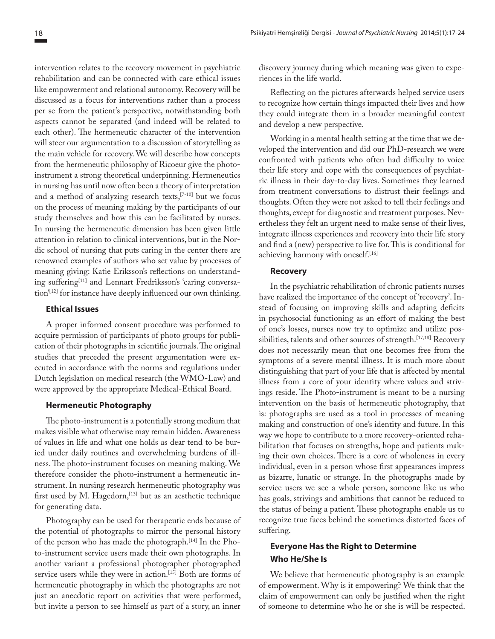intervention relates to the recovery movement in psychiatric rehabilitation and can be connected with care ethical issues like empowerment and relational autonomy. Recovery will be discussed as a focus for interventions rather than a process per se from the patient's perspective, notwithstanding both aspects cannot be separated (and indeed will be related to each other). The hermeneutic character of the intervention will steer our argumentation to a discussion of storytelling as the main vehicle for recovery. We will describe how concepts from the hermeneutic philosophy of Ricoeur give the photoinstrument a strong theoretical underpinning. Hermeneutics in nursing has until now often been a theory of interpretation and a method of analyzing research texts,[7-10] but we focus on the process of meaning making by the participants of our study themselves and how this can be facilitated by nurses. In nursing the hermeneutic dimension has been given little attention in relation to clinical interventions, but in the Nordic school of nursing that puts caring in the center there are renowned examples of authors who set value by processes of meaning giving: Katie Eriksson's reflections on understanding suffering<sup>[11]</sup> and Lennart Fredriksson's 'caring conversation'<sup>[12]</sup> for instance have deeply influenced our own thinking.

### **Ethical Issues**

A proper informed consent procedure was performed to acquire permission of participants of photo groups for publication of their photographs in scientific journals. The original studies that preceded the present argumentation were executed in accordance with the norms and regulations under Dutch legislation on medical research (the WMO-Law) and were approved by the appropriate Medical-Ethical Board.

#### **Hermeneutic Photography**

The photo-instrument is a potentially strong medium that makes visible what otherwise may remain hidden. Awareness of values in life and what one holds as dear tend to be buried under daily routines and overwhelming burdens of illness. The photo-instrument focuses on meaning making. We therefore consider the photo-instrument a hermeneutic instrument. In nursing research hermeneutic photography was first used by M. Hagedorn,  $[13]$  but as an aesthetic technique for generating data.

Photography can be used for therapeutic ends because of the potential of photographs to mirror the personal history of the person who has made the photograph.[14] In the Photo-instrument service users made their own photographs. In another variant a professional photographer photographed service users while they were in action.<sup>[15]</sup> Both are forms of hermeneutic photography in which the photographs are not just an anecdotic report on activities that were performed, but invite a person to see himself as part of a story, an inner

discovery journey during which meaning was given to experiences in the life world.

Reflecting on the pictures afterwards helped service users to recognize how certain things impacted their lives and how they could integrate them in a broader meaningful context and develop a new perspective.

Working in a mental health setting at the time that we developed the intervention and did our PhD-research we were confronted with patients who often had difficulty to voice their life story and cope with the consequences of psychiatric illness in their day-to-day lives. Sometimes they learned from treatment conversations to distrust their feelings and thoughts. Often they were not asked to tell their feelings and thoughts, except for diagnostic and treatment purposes. Nevertheless they felt an urgent need to make sense of their lives, integrate illness experiences and recovery into their life story and find a (new) perspective to live for. This is conditional for achieving harmony with oneself.<sup>[16]</sup>

#### **Recovery**

In the psychiatric rehabilitation of chronic patients nurses have realized the importance of the concept of 'recovery'. Instead of focusing on improving skills and adapting deficits in psychosocial functioning as an effort of making the best of one's losses, nurses now try to optimize and utilize possibilities, talents and other sources of strength.<sup>[17,18]</sup> Recovery does not necessarily mean that one becomes free from the symptoms of a severe mental illness. It is much more about distinguishing that part of your life that is affected by mental illness from a core of your identity where values and strivings reside. The Photo-instrument is meant to be a nursing intervention on the basis of hermeneutic photography, that is: photographs are used as a tool in processes of meaning making and construction of one's identity and future. In this way we hope to contribute to a more recovery-oriented rehabilitation that focuses on strengths, hope and patients making their own choices. There is a core of wholeness in every individual, even in a person whose first appearances impress as bizarre, lunatic or strange. In the photographs made by service users we see a whole person, someone like us who has goals, strivings and ambitions that cannot be reduced to the status of being a patient. These photographs enable us to recognize true faces behind the sometimes distorted faces of suffering.

## **Everyone Has the Right to Determine Who He/She Is**

We believe that hermeneutic photography is an example of empowerment. Why is it empowering? We think that the claim of empowerment can only be justified when the right of someone to determine who he or she is will be respected.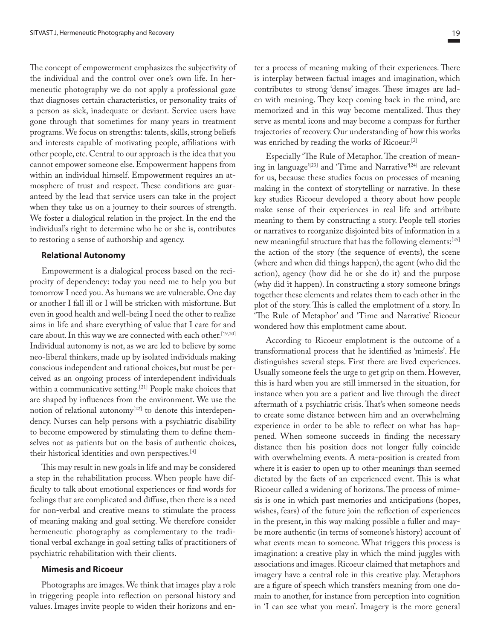The concept of empowerment emphasizes the subjectivity of the individual and the control over one's own life. In hermeneutic photography we do not apply a professional gaze that diagnoses certain characteristics, or personality traits of a person as sick, inadequate or deviant. Service users have gone through that sometimes for many years in treatment programs. We focus on strengths: talents, skills, strong beliefs and interests capable of motivating people, affiliations with other people, etc. Central to our approach is the idea that you cannot empower someone else. Empowerment happens from within an individual himself. Empowerment requires an atmosphere of trust and respect. These conditions are guaranteed by the lead that service users can take in the project when they take us on a journey to their sources of strength. We foster a dialogical relation in the project. In the end the individual's right to determine who he or she is, contributes to restoring a sense of authorship and agency.

#### **Relational Autonomy**

Empowerment is a dialogical process based on the reciprocity of dependency: today you need me to help you but tomorrow I need you. As humans we are vulnerable. One day or another I fall ill or I will be stricken with misfortune. But even in good health and well-being I need the other to realize aims in life and share everything of value that I care for and care about. In this way we are connected with each other.<sup>[19,20]</sup> Individual autonomy is not, as we are led to believe by some neo-liberal thinkers, made up by isolated individuals making conscious independent and rational choices, but must be perceived as an ongoing process of interdependent individuals within a communicative setting.<sup>[21]</sup> People make choices that are shaped by influences from the environment. We use the notion of relational autonomy<sup>[22]</sup> to denote this interdependency. Nurses can help persons with a psychiatric disability to become empowered by stimulating them to define themselves not as patients but on the basis of authentic choices, their historical identities and own perspectives.[4]

This may result in new goals in life and may be considered a step in the rehabilitation process. When people have difficulty to talk about emotional experiences or find words for feelings that are complicated and diffuse, then there is a need for non-verbal and creative means to stimulate the process of meaning making and goal setting. We therefore consider hermeneutic photography as complementary to the traditional verbal exchange in goal setting talks of practitioners of psychiatric rehabilitation with their clients.

#### **Mimesis and Ricoeur**

Photographs are images. We think that images play a role in triggering people into reflection on personal history and values. Images invite people to widen their horizons and enter a process of meaning making of their experiences. There is interplay between factual images and imagination, which contributes to strong 'dense' images. These images are laden with meaning. They keep coming back in the mind, are memorized and in this way become mentalized. Thus they serve as mental icons and may become a compass for further trajectories of recovery. Our understanding of how this works was enriched by reading the works of Ricoeur.[2]

Especially 'The Rule of Metaphor. The creation of meaning in language'<sup>[23]</sup> and 'Time and Narrative'<sup>[24]</sup> are relevant for us, because these studies focus on processes of meaning making in the context of storytelling or narrative. In these key studies Ricoeur developed a theory about how people make sense of their experiences in real life and attribute meaning to them by constructing a story. People tell stories or narratives to reorganize disjointed bits of information in a new meaningful structure that has the following elements:[25] the action of the story (the sequence of events), the scene (where and when did things happen), the agent (who did the action), agency (how did he or she do it) and the purpose (why did it happen). In constructing a story someone brings together these elements and relates them to each other in the plot of the story. This is called the emplotment of a story. In 'The Rule of Metaphor' and 'Time and Narrative' Ricoeur wondered how this emplotment came about.

According to Ricoeur emplotment is the outcome of a transformational process that he identified as 'mimesis'. He distinguishes several steps. First there are lived experiences. Usually someone feels the urge to get grip on them. However, this is hard when you are still immersed in the situation, for instance when you are a patient and live through the direct aftermath of a psychiatric crisis. That's when someone needs to create some distance between him and an overwhelming experience in order to be able to reflect on what has happened. When someone succeeds in finding the necessary distance then his position does not longer fully coincide with overwhelming events. A meta-position is created from where it is easier to open up to other meanings than seemed dictated by the facts of an experienced event. This is what Ricoeur called a widening of horizons. The process of mimesis is one in which past memories and anticipations (hopes, wishes, fears) of the future join the reflection of experiences in the present, in this way making possible a fuller and maybe more authentic (in terms of someone's history) account of what events mean to someone. What triggers this process is imagination: a creative play in which the mind juggles with associations and images. Ricoeur claimed that metaphors and imagery have a central role in this creative play. Metaphors are a figure of speech which transfers meaning from one domain to another, for instance from perception into cognition in 'I can see what you mean'. Imagery is the more general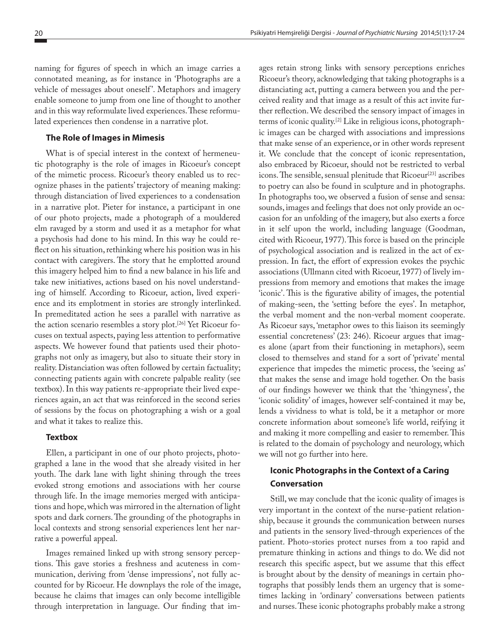naming for figures of speech in which an image carries a connotated meaning, as for instance in 'Photographs are a vehicle of messages about oneself '. Metaphors and imagery enable someone to jump from one line of thought to another and in this way reformulate lived experiences. These reformulated experiences then condense in a narrative plot.

#### **The Role of Images in Mimesis**

What is of special interest in the context of hermeneutic photography is the role of images in Ricoeur's concept of the mimetic process. Ricoeur's theory enabled us to recognize phases in the patients' trajectory of meaning making: through distanciation of lived experiences to a condensation in a narrative plot. Pieter for instance, a participant in one of our photo projects, made a photograph of a mouldered elm ravaged by a storm and used it as a metaphor for what a psychosis had done to his mind. In this way he could reflect on his situation, rethinking where his position was in his contact with caregivers. The story that he emplotted around this imagery helped him to find a new balance in his life and take new initiatives, actions based on his novel understanding of himself. According to Ricoeur, action, lived experience and its emplotment in stories are strongly interlinked. In premeditated action he sees a parallel with narrative as the action scenario resembles a story plot.[26] Yet Ricoeur focuses on textual aspects, paying less attention to performative aspects. We however found that patients used their photographs not only as imagery, but also to situate their story in reality. Distanciation was often followed by certain factuality; connecting patients again with concrete palpable reality (see textbox). In this way patients re-appropriate their lived experiences again, an act that was reinforced in the second series of sessions by the focus on photographing a wish or a goal and what it takes to realize this.

#### **Textbox**

Ellen, a participant in one of our photo projects, photographed a lane in the wood that she already visited in her youth. The dark lane with light shining through the trees evoked strong emotions and associations with her course through life. In the image memories merged with anticipations and hope, which was mirrored in the alternation of light spots and dark corners. The grounding of the photographs in local contexts and strong sensorial experiences lent her narrative a powerful appeal.

Images remained linked up with strong sensory perceptions. This gave stories a freshness and acuteness in communication, deriving from 'dense impressions', not fully accounted for by Ricoeur. He downplays the role of the image, because he claims that images can only become intelligible through interpretation in language. Our finding that images retain strong links with sensory perceptions enriches Ricoeur's theory, acknowledging that taking photographs is a distanciating act, putting a camera between you and the perceived reality and that image as a result of this act invite further reflection. We described the sensory impact of images in terms of iconic quality.[2] Like in religious icons, photographic images can be charged with associations and impressions that make sense of an experience, or in other words represent it. We conclude that the concept of iconic representation, also embraced by Ricoeur, should not be restricted to verbal icons. The sensible, sensual plenitude that Ricoeur<sup>[23]</sup> ascribes to poetry can also be found in sculpture and in photographs. In photographs too, we observed a fusion of sense and sensa: sounds, images and feelings that does not only provide an occasion for an unfolding of the imagery, but also exerts a force in it self upon the world, including language (Goodman, cited with Ricoeur, 1977). This force is based on the principle of psychological association and is realized in the act of expression. In fact, the effort of expression evokes the psychic associations (Ullmann cited with Ricoeur, 1977) of lively impressions from memory and emotions that makes the image 'iconic'. This is the figurative ability of images, the potential of making-seen, the 'setting before the eyes'. In metaphor, the verbal moment and the non-verbal moment cooperate. As Ricoeur says, 'metaphor owes to this liaison its seemingly essential concreteness' (23: 246). Ricoeur argues that images alone (apart from their functioning in metaphors), seem closed to themselves and stand for a sort of 'private' mental experience that impedes the mimetic process, the 'seeing as' that makes the sense and image hold together. On the basis of our findings however we think that the 'thingyness', the 'iconic solidity' of images, however self-contained it may be, lends a vividness to what is told, be it a metaphor or more concrete information about someone's life world, reifying it and making it more compelling and easier to remember. This is related to the domain of psychology and neurology, which we will not go further into here.

## **Iconic Photographs in the Context of a Caring Conversation**

Still, we may conclude that the iconic quality of images is very important in the context of the nurse-patient relationship, because it grounds the communication between nurses and patients in the sensory lived-through experiences of the patient. Photo-stories protect nurses from a too rapid and premature thinking in actions and things to do. We did not research this specific aspect, but we assume that this effect is brought about by the density of meanings in certain photographs that possibly lends them an urgency that is sometimes lacking in 'ordinary' conversations between patients and nurses. These iconic photographs probably make a strong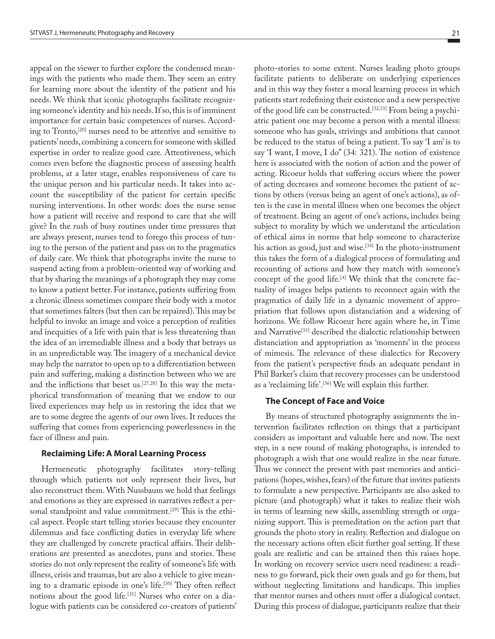appeal on the viewer to further explore the condensed meanings with the patients who made them. They seem an entry for learning more about the identity of the patient and his needs. We think that iconic photographs facilitate recognizing someone's identity and his needs. If so, this is of imminent importance for certain basic competences of nurses. According to Tronto,<sup>[20]</sup> nurses need to be attentive and sensitive to patients' needs, combining a concern for someone with skilled expertise in order to realize good care. Attentiveness, which comes even before the diagnostic process of assessing health problems, at a later stage, enables responsiveness of care to the unique person and his particular needs. It takes into account the susceptibility of the patient for certain specific nursing interventions. In other words: does the nurse sense how a patient will receive and respond to care that she will give? In the rush of busy routines under time pressures that are always present, nurses tend to forego this process of tuning to the person of the patient and pass on to the pragmatics of daily care. We think that photographs invite the nurse to suspend acting from a problem-oriented way of working and that by sharing the meanings of a photograph they may come to know a patient better. For instance, patients suffering from a chronic illness sometimes compare their body with a motor that sometimes falters (but then can be repaired). This may be helpful to invoke an image and voice a perception of realities and inequities of a life with pain that is less threatening than the idea of an irremediable illness and a body that betrays us in an unpredictable way. The imagery of a mechanical device may help the narrator to open up to a differentiation between pain and suffering, making a distinction between who we are and the inflictions that beset us.[27,28] In this way the metaphorical transformation of meaning that we endow to our lived experiences may help us in restoring the idea that we are to some degree the agents of our own lives. It reduces the suffering that comes from experiencing powerlessness in the face of illness and pain.

#### **Reclaiming Life: A Moral Learning Process**

Hermeneutic photography facilitates story-telling through which patients not only represent their lives, but also reconstruct them. With Nussbaum we hold that feelings and emotions as they are expressed in narratives reflect a personal standpoint and value commitment.<sup>[29]</sup> This is the ethical aspect. People start telling stories because they encounter dilemmas and face conflicting duties in everyday life where they are challenged by concrete practical affairs. Their deliberations are presented as anecdotes, puns and stories. These stories do not only represent the reality of someone's life with illness, crisis and traumas, but are also a vehicle to give meaning to a dramatic episode in one's life.[30] They often reflect notions about the good life.<sup>[31]</sup> Nurses who enter on a dialogue with patients can be considered co-creators of patients' photo-stories to some extent. Nurses leading photo groups facilitate patients to deliberate on underlying experiences and in this way they foster a moral learning process in which patients start redefining their existence and a new perspective of the good life can be constructed.[32,33] From being a psychiatric patient one may become a person with a mental illness: someone who has goals, strivings and ambitions that cannot be reduced to the status of being a patient. To say 'I am' is to say 'I want, I move, I do" (34: 321). The notion of existence here is associated with the notion of action and the power of acting. Ricoeur holds that suffering occurs where the power of acting decreases and someone becomes the patient of actions by others (versus being an agent of one's actions), as often is the case in mental illness when one becomes the object of treatment. Being an agent of one's actions, includes being subject to morality by which we understand the articulation of ethical aims in norms that help someone to characterize his action as good, just and wise.<sup>[34]</sup> In the photo-instrument this takes the form of a dialogical process of formulating and recounting of actions and how they match with someone's concept of the good life.[4] We think that the concrete factuality of images helps patients to reconnect again with the pragmatics of daily life in a dynamic movement of appropriation that follows upon distanciation and a widening of horizons. We follow Ricoeur here again where he, in Time and Narrative<sup>[35]</sup> described the dialectic relationship between distanciation and appropriation as 'moments' in the process of mimesis. The relevance of these dialectics for Recovery from the patient's perspective finds an adequate pendant in Phil Barker's claim that recovery processes can be understood as a 'reclaiming life'.<sup>[36]</sup> We will explain this further.

#### **The Concept of Face and Voice**

By means of structured photography assignments the intervention facilitates reflection on things that a participant considers as important and valuable here and now. The next step, in a new round of making photographs, is intended to photograph a wish that one would realize in the near future. Thus we connect the present with past memories and anticipations (hopes, wishes, fears) of the future that invites patients to formulate a new perspective. Participants are also asked to picture (and photograph) what it takes to realize their wish in terms of learning new skills, assembling strength or organizing support. This is premeditation on the action part that grounds the photo story in reality. Reflection and dialogue on the necessary actions often elicit further goal setting. If these goals are realistic and can be attained then this raises hope. In working on recovery service users need readiness: a readiness to go forward, pick their own goals and go for them, but without neglecting limitations and handicaps. This implies that mentor nurses and others must offer a dialogical contact. During this process of dialogue, participants realize that their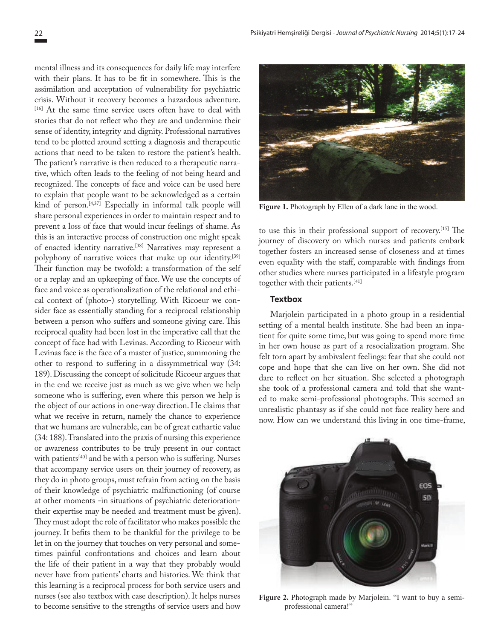mental illness and its consequences for daily life may interfere with their plans. It has to be fit in somewhere. This is the assimilation and acceptation of vulnerability for psychiatric crisis. Without it recovery becomes a hazardous adventure. [16] At the same time service users often have to deal with stories that do not reflect who they are and undermine their sense of identity, integrity and dignity. Professional narratives tend to be plotted around setting a diagnosis and therapeutic actions that need to be taken to restore the patient's health. The patient's narrative is then reduced to a therapeutic narrative, which often leads to the feeling of not being heard and recognized. The concepts of face and voice can be used here to explain that people want to be acknowledged as a certain kind of person.<sup>[4,37]</sup> Especially in informal talk people will share personal experiences in order to maintain respect and to prevent a loss of face that would incur feelings of shame. As this is an interactive process of construction one might speak of enacted identity narrative.<sup>[38]</sup> Narratives may represent a polyphony of narrative voices that make up our identity.<sup>[39]</sup> Their function may be twofold: a transformation of the self or a replay and an upkeeping of face. We use the concepts of face and voice as operationalization of the relational and ethical context of (photo-) storytelling. With Ricoeur we consider face as essentially standing for a reciprocal relationship between a person who suffers and someone giving care. This reciprocal quality had been lost in the imperative call that the concept of face had with Levinas. According to Ricoeur with Levinas face is the face of a master of justice, summoning the other to respond to suffering in a dissymmetrical way (34: 189). Discussing the concept of solicitude Ricoeur argues that in the end we receive just as much as we give when we help someone who is suffering, even where this person we help is the object of our actions in one-way direction. He claims that what we receive in return, namely the chance to experience that we humans are vulnerable, can be of great cathartic value (34: 188). Translated into the praxis of nursing this experience or awareness contributes to be truly present in our contact with patients<sup>[40]</sup> and be with a person who is suffering. Nurses that accompany service users on their journey of recovery, as they do in photo groups, must refrain from acting on the basis of their knowledge of psychiatric malfunctioning (of course at other moments -in situations of psychiatric deteriorationtheir expertise may be needed and treatment must be given). They must adopt the role of facilitator who makes possible the journey. It befits them to be thankful for the privilege to be let in on the journey that touches on very personal and sometimes painful confrontations and choices and learn about the life of their patient in a way that they probably would never have from patients' charts and histories. We think that this learning is a reciprocal process for both service users and nurses (see also textbox with case description). It helps nurses to become sensitive to the strengths of service users and how



**Figure 1.** Photograph by Ellen of a dark lane in the wood.

to use this in their professional support of recovery.[15] The journey of discovery on which nurses and patients embark together fosters an increased sense of closeness and at times even equality with the staff, comparable with findings from other studies where nurses participated in a lifestyle program together with their patients.[41]

#### **Textbox**

Marjolein participated in a photo group in a residential setting of a mental health institute. She had been an inpatient for quite some time, but was going to spend more time in her own house as part of a resocialization program. She felt torn apart by ambivalent feelings: fear that she could not cope and hope that she can live on her own. She did not dare to reflect on her situation. She selected a photograph she took of a professional camera and told that she wanted to make semi-professional photographs. This seemed an unrealistic phantasy as if she could not face reality here and now. How can we understand this living in one time-frame,



**Figure 2.** Photograph made by Marjolein. "I want to buy a semiprofessional camera!"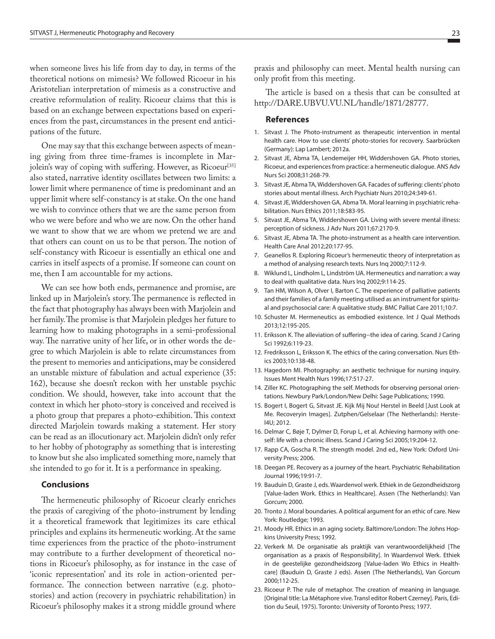when someone lives his life from day to day, in terms of the theoretical notions on mimesis? We followed Ricoeur in his Aristotelian interpretation of mimesis as a constructive and creative reformulation of reality. Ricoeur claims that this is based on an exchange between expectations based on experiences from the past, circumstances in the present end anticipations of the future.

One may say that this exchange between aspects of meaning giving from three time-frames is incomplete in Marjolein's way of coping with suffering. However, as Ricoeur<sup>[35]</sup> also stated, narrative identity oscillates between two limits: a lower limit where permanence of time is predominant and an upper limit where self-constancy is at stake. On the one hand we wish to convince others that we are the same person from who we were before and who we are now. On the other hand we want to show that we are whom we pretend we are and that others can count on us to be that person. The notion of self-constancy with Ricoeur is essentially an ethical one and carries in itself aspects of a promise. If someone can count on me, then I am accountable for my actions.

We can see how both ends, permanence and promise, are linked up in Marjolein's story. The permanence is reflected in the fact that photography has always been with Marjolein and her family. The promise is that Marjolein pledges her future to learning how to making photographs in a semi-professional way. The narrative unity of her life, or in other words the degree to which Marjolein is able to relate circumstances from the present to memories and anticipations, may be considered an unstable mixture of fabulation and actual experience (35: 162), because she doesn't reckon with her unstable psychic condition. We should, however, take into account that the context in which her photo-story is conceived and received is a photo group that prepares a photo-exhibition. This context directed Marjolein towards making a statement. Her story can be read as an illocutionary act. Marjolein didn't only refer to her hobby of photography as something that is interesting to know but she also implicated something more, namely that she intended to go for it. It is a performance in speaking.

### **Conclusions**

The hermeneutic philosophy of Ricoeur clearly enriches the praxis of caregiving of the photo-instrument by lending it a theoretical framework that legitimizes its care ethical principles and explains its hermeneutic working. At the same time experiences from the practice of the photo-instrument may contribute to a further development of theoretical notions in Ricoeur's philosophy, as for instance in the case of 'iconic representation' and its role in action-oriented performance. The connection between narrative (e.g. photostories) and action (recovery in psychiatric rehabilitation) in Ricoeur's philosophy makes it a strong middle ground where

praxis and philosophy can meet. Mental health nursing can only profit from this meeting.

The article is based on a thesis that can be consulted at http://DARE.UBVU.VU.NL/handle/1871/28777.

#### **References**

- 1. Sitvast J. The Photo-instrument as therapeutic intervention in mental health care. How to use clients' photo-stories for recovery. Saarbrücken (Germany): Lap Lambert; 2012a.
- 2. Sitvast JE, Abma TA, Lendemeijer HH, Widdershoven GA. Photo stories, Ricoeur, and experiences from practice: a hermeneutic dialogue. ANS Adv Nurs Sci 2008;31:268-79.
- 3. Sitvast JE, Abma TA, Widdershoven GA. Facades of suffering: clients' photo stories about mental illness. Arch Psychiatr Nurs 2010;24:349-61.
- 4. Sitvast JE, Widdershoven GA, Abma TA. Moral learning in psychiatric rehabilitation. Nurs Ethics 2011;18:583-95.
- 5. Sitvast JE, Abma TA, Widdershoven GA. Living with severe mental illness: perception of sickness. J Adv Nurs 2011;67:2170-9.
- 6. Sitvast JE, Abma TA. The photo-instrument as a health care intervention. Health Care Anal 2012;20:177-95.
- 7. Geanellos R. Exploring Ricoeur's hermeneutic theory of interpretation as a method of analysing research texts. Nurs Inq 2000;7:112-9.
- 8. Wiklund L, Lindholm L, Lindström UA. Hermeneutics and narration: a way to deal with qualitative data. Nurs Inq 2002;9:114-25.
- 9. Tan HM, Wilson A, Olver I, Barton C. The experience of palliative patients and their families of a family meeting utilised as an instrument for spiritual and psychosocial care: A qualitative study. BMC Palliat Care 2011;10:7.
- 10. Schuster M. Hermeneutics as embodied existence. Int J Qual Methods 2013;12:195-205.
- 11. Eriksson K. The alleviation of suffering--the idea of caring. Scand J Caring Sci 1992;6:119-23.
- 12. Fredriksson L, Eriksson K. The ethics of the caring conversation. Nurs Ethics 2003;10:138-48.
- 13. Hagedorn MI. Photography: an aesthetic technique for nursing inquiry. Issues Ment Health Nurs 1996;17:517-27.
- 14. Ziller KC. Photographing the self. Methods for observing personal orientations. Newbury Park/London/New Delhi: Sage Publications; 1990.
- 15. Bogert I, Bogert G, Sitvast JE. Kijk Mij Nou! Herstel in Beeld [Just Look at Me. Recoveryin Images]. Zutphen/Gelselaar (The Netherlands): Herstel4U; 2012.
- 16. Delmar C, Bøje T, Dylmer D, Forup L, et al. Achieving harmony with oneself: life with a chronic illness. Scand J Caring Sci 2005;19:204-12.
- 17. Rapp CA, Goscha R. The strength model. 2nd ed., New York: Oxford University Press; 2006.
- 18. Deegan PE. Recovery as a journey of the heart. Psychiatric Rehabilitation Journal 1996;19:91-7.
- 19. Bauduin D, Graste J, eds. Waardenvol werk. Ethiek in de Gezondheidszorg [Value-laden Work. Ethics in Healthcare]. Assen (The Netherlands): Van Gorcum; 2000.
- 20. Tronto J. Moral boundaries. A political argument for an ethic of care. New York: Routledge; 1993.
- 21. Moody HR. Ethics in an aging society. Baltimore/London: The Johns Hopkins University Press; 1992.
- 22. Verkerk M. De organisatie als praktijk van verantwoordelijkheid [The organisation as a praxis of Responsibility]. In Waardenvol Werk. Ethiek in de geestelijke gezondheidszorg [Value-laden Wo Ethics in Healthcare] (Bauduin D, Graste J eds). Assen (The Netherlands), Van Gorcum 2000;112-25.
- 23. Ricoeur P. The rule of metaphor. The creation of meaning in language. [Original title: La Métaphore vive. Transl editor Robert Czerney]. Paris, Edition du Seuil, 1975). Toronto: University of Toronto Press; 1977.